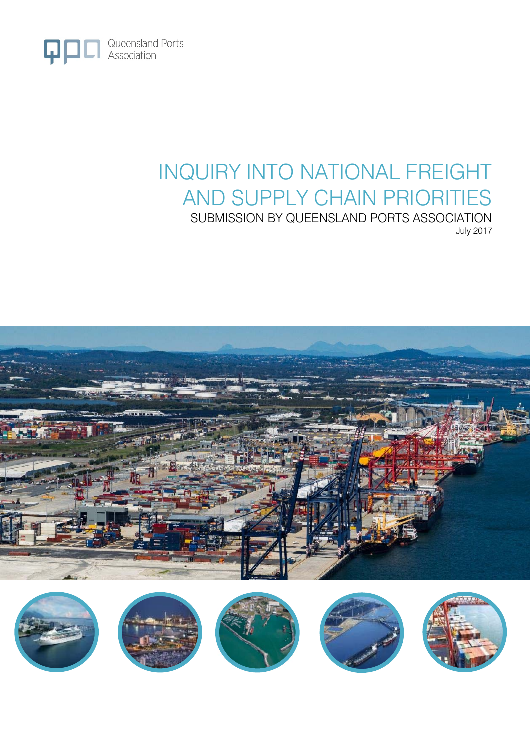

# INQUIRY INTO NATIONAL FREIGHT AND SUPPLY CHAIN PRIORITIES SUBMISSION BY QUEENSLAND PORTS ASSOCIATION July 2017



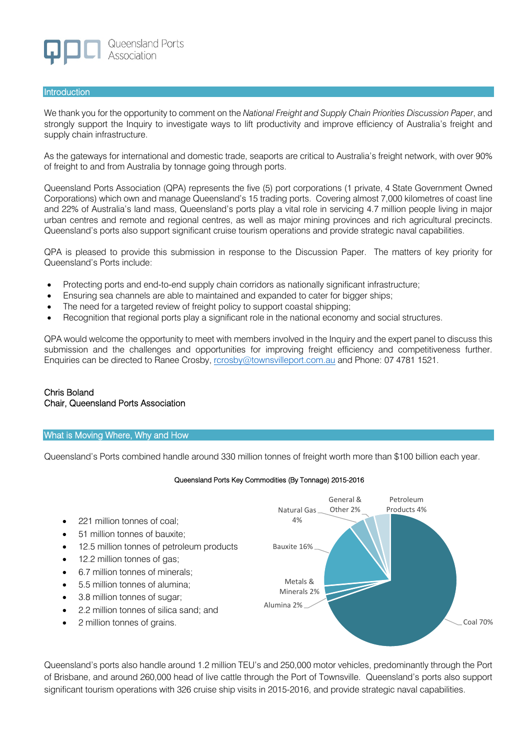

#### **Introduction**

We thank you for the opportunity to comment on the *National Freight and Supply Chain Priorities Discussion Paper*, and strongly support the Inquiry to investigate ways to lift productivity and improve efficiency of Australia's freight and supply chain infrastructure.

As the gateways for international and domestic trade, seaports are critical to Australia's freight network, with over 90% of freight to and from Australia by tonnage going through ports.

Queensland Ports Association (QPA) represents the five (5) port corporations (1 private, 4 State Government Owned Corporations) which own and manage Queensland's 15 trading ports. Covering almost 7,000 kilometres of coast line and 22% of Australia's land mass, Queensland's ports play a vital role in servicing 4.7 million people living in major urban centres and remote and regional centres, as well as major mining provinces and rich agricultural precincts. Queensland's ports also support significant cruise tourism operations and provide strategic naval capabilities.

QPA is pleased to provide this submission in response to the Discussion Paper. The matters of key priority for Queensland's Ports include:

- Protecting ports and end-to-end supply chain corridors as nationally significant infrastructure;
- Ensuring sea channels are able to maintained and expanded to cater for bigger ships;
- The need for a targeted review of freight policy to support coastal shipping;
- Recognition that regional ports play a significant role in the national economy and social structures.

QPA would welcome the opportunity to meet with members involved in the Inquiry and the expert panel to discuss this submission and the challenges and opportunities for improving freight efficiency and competitiveness further. Enquiries can be directed to Ranee Crosby, rcrosby@townsvilleport.com.au and Phone: 07 4781 1521.

## Chris Boland Chair, Queensland Ports Association

#### What is Moving Where, Why and How

Queensland's Ports combined handle around 330 million tonnes of freight worth more than \$100 billion each year.

#### Queensland Ports Key Commodities (By Tonnage) 2015-2016



Queensland's ports also handle around 1.2 million TEU's and 250,000 motor vehicles, predominantly through the Port of Brisbane, and around 260,000 head of live cattle through the Port of Townsville. Queensland's ports also support significant tourism operations with 326 cruise ship visits in 2015-2016, and provide strategic naval capabilities.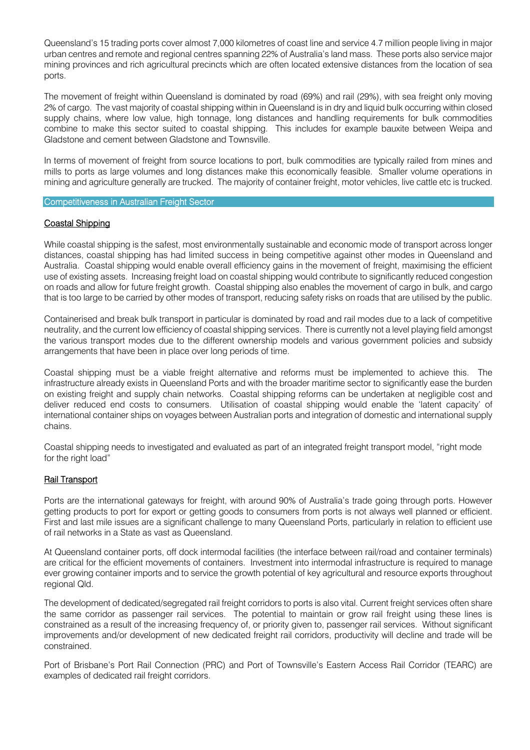Queensland's 15 trading ports cover almost 7,000 kilometres of coast line and service 4.7 million people living in major urban centres and remote and regional centres spanning 22% of Australia's land mass. These ports also service major mining provinces and rich agricultural precincts which are often located extensive distances from the location of sea ports.

The movement of freight within Queensland is dominated by road (69%) and rail (29%), with sea freight only moving 2% of cargo. The vast majority of coastal shipping within in Queensland is in dry and liquid bulk occurring within closed supply chains, where low value, high tonnage, long distances and handling requirements for bulk commodities combine to make this sector suited to coastal shipping. This includes for example bauxite between Weipa and Gladstone and cement between Gladstone and Townsville.

In terms of movement of freight from source locations to port, bulk commodities are typically railed from mines and mills to ports as large volumes and long distances make this economically feasible. Smaller volume operations in mining and agriculture generally are trucked. The majority of container freight, motor vehicles, live cattle etc is trucked.

#### Competitiveness in Australian Freight Sector

## Coastal Shipping

While coastal shipping is the safest, most environmentally sustainable and economic mode of transport across longer distances, coastal shipping has had limited success in being competitive against other modes in Queensland and Australia. Coastal shipping would enable overall efficiency gains in the movement of freight, maximising the efficient use of existing assets. Increasing freight load on coastal shipping would contribute to significantly reduced congestion on roads and allow for future freight growth. Coastal shipping also enables the movement of cargo in bulk, and cargo that is too large to be carried by other modes of transport, reducing safety risks on roads that are utilised by the public.

Containerised and break bulk transport in particular is dominated by road and rail modes due to a lack of competitive neutrality, and the current low efficiency of coastal shipping services. There is currently not a level playing field amongst the various transport modes due to the different ownership models and various government policies and subsidy arrangements that have been in place over long periods of time.

Coastal shipping must be a viable freight alternative and reforms must be implemented to achieve this. The infrastructure already exists in Queensland Ports and with the broader maritime sector to significantly ease the burden on existing freight and supply chain networks. Coastal shipping reforms can be undertaken at negligible cost and deliver reduced end costs to consumers. Utilisation of coastal shipping would enable the 'latent capacity' of international container ships on voyages between Australian ports and integration of domestic and international supply chains.

Coastal shipping needs to investigated and evaluated as part of an integrated freight transport model, "right mode for the right load"

#### Rail Transport

Ports are the international gateways for freight, with around 90% of Australia's trade going through ports. However getting products to port for export or getting goods to consumers from ports is not always well planned or efficient. First and last mile issues are a significant challenge to many Queensland Ports, particularly in relation to efficient use of rail networks in a State as vast as Queensland.

At Queensland container ports, off dock intermodal facilities (the interface between rail/road and container terminals) are critical for the efficient movements of containers. Investment into intermodal infrastructure is required to manage ever growing container imports and to service the growth potential of key agricultural and resource exports throughout regional Qld.

The development of dedicated/segregated rail freight corridors to ports is also vital. Current freight services often share the same corridor as passenger rail services. The potential to maintain or grow rail freight using these lines is constrained as a result of the increasing frequency of, or priority given to, passenger rail services. Without significant improvements and/or development of new dedicated freight rail corridors, productivity will decline and trade will be constrained.

Port of Brisbane's Port Rail Connection (PRC) and Port of Townsville's Eastern Access Rail Corridor (TEARC) are examples of dedicated rail freight corridors.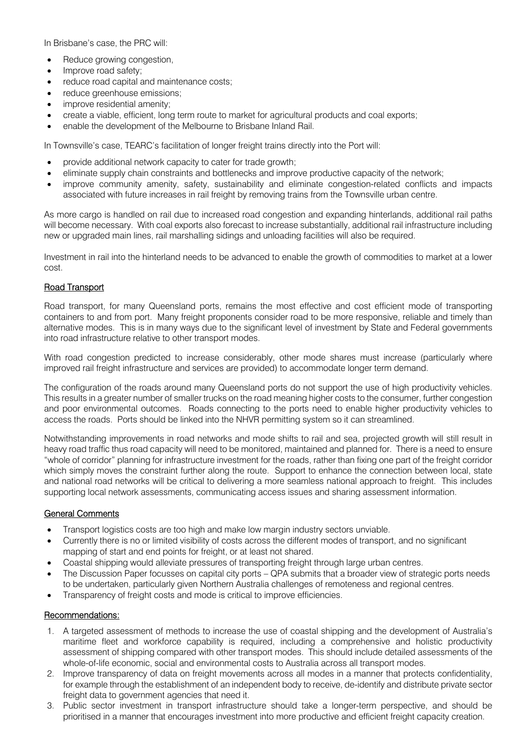In Brisbane's case, the PRC will:

- Reduce growing congestion,
- Improve road safety;
- reduce road capital and maintenance costs;
- reduce greenhouse emissions;
- improve residential amenity;
- create a viable, efficient, long term route to market for agricultural products and coal exports;
- enable the development of the Melbourne to Brisbane Inland Rail.

In Townsville's case, TEARC's facilitation of longer freight trains directly into the Port will:

- provide additional network capacity to cater for trade growth;
- eliminate supply chain constraints and bottlenecks and improve productive capacity of the network;
- improve community amenity, safety, sustainability and eliminate congestion-related conflicts and impacts associated with future increases in rail freight by removing trains from the Townsville urban centre.

As more cargo is handled on rail due to increased road congestion and expanding hinterlands, additional rail paths will become necessary. With coal exports also forecast to increase substantially, additional rail infrastructure including new or upgraded main lines, rail marshalling sidings and unloading facilities will also be required.

Investment in rail into the hinterland needs to be advanced to enable the growth of commodities to market at a lower cost.

# Road Transport

Road transport, for many Queensland ports, remains the most effective and cost efficient mode of transporting containers to and from port. Many freight proponents consider road to be more responsive, reliable and timely than alternative modes. This is in many ways due to the significant level of investment by State and Federal governments into road infrastructure relative to other transport modes.

With road congestion predicted to increase considerably, other mode shares must increase (particularly where improved rail freight infrastructure and services are provided) to accommodate longer term demand.

The configuration of the roads around many Queensland ports do not support the use of high productivity vehicles. This results in a greater number of smaller trucks on the road meaning higher costs to the consumer, further congestion and poor environmental outcomes. Roads connecting to the ports need to enable higher productivity vehicles to access the roads. Ports should be linked into the NHVR permitting system so it can streamlined.

Notwithstanding improvements in road networks and mode shifts to rail and sea, projected growth will still result in heavy road traffic thus road capacity will need to be monitored, maintained and planned for. There is a need to ensure "whole of corridor" planning for infrastructure investment for the roads, rather than fixing one part of the freight corridor which simply moves the constraint further along the route. Support to enhance the connection between local, state and national road networks will be critical to delivering a more seamless national approach to freight. This includes supporting local network assessments, communicating access issues and sharing assessment information.

## General Comments

- Transport logistics costs are too high and make low margin industry sectors unviable.
- Currently there is no or limited visibility of costs across the different modes of transport, and no significant mapping of start and end points for freight, or at least not shared.
- Coastal shipping would alleviate pressures of transporting freight through large urban centres.
- The Discussion Paper focusses on capital city ports QPA submits that a broader view of strategic ports needs to be undertaken, particularly given Northern Australia challenges of remoteness and regional centres.
- Transparency of freight costs and mode is critical to improve efficiencies.

#### Recommendations:

- 1. A targeted assessment of methods to increase the use of coastal shipping and the development of Australia's maritime fleet and workforce capability is required, including a comprehensive and holistic productivity assessment of shipping compared with other transport modes. This should include detailed assessments of the whole-of-life economic, social and environmental costs to Australia across all transport modes.
- 2. Improve transparency of data on freight movements across all modes in a manner that protects confidentiality, for example through the establishment of an independent body to receive, de-identify and distribute private sector freight data to government agencies that need it.
- 3. Public sector investment in transport infrastructure should take a longer-term perspective, and should be prioritised in a manner that encourages investment into more productive and efficient freight capacity creation.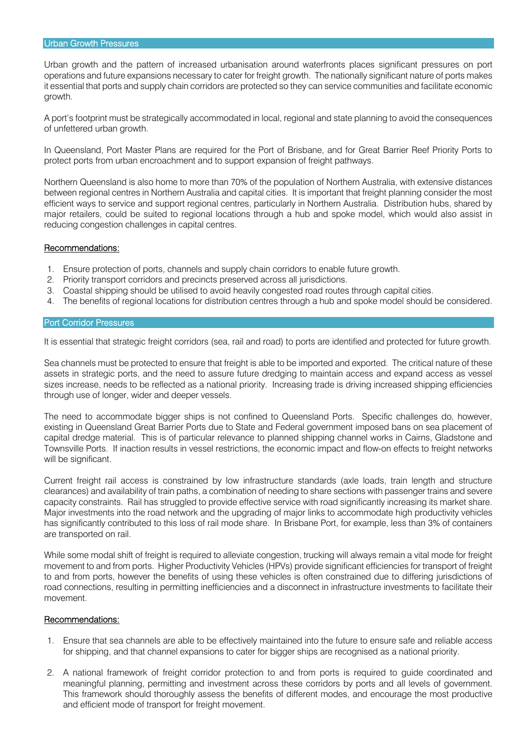#### Urban Growth Pressures

Urban growth and the pattern of increased urbanisation around waterfronts places significant pressures on port operations and future expansions necessary to cater for freight growth. The nationally significant nature of ports makes it essential that ports and supply chain corridors are protected so they can service communities and facilitate economic growth.

A port's footprint must be strategically accommodated in local, regional and state planning to avoid the consequences of unfettered urban growth.

In Queensland, Port Master Plans are required for the Port of Brisbane, and for Great Barrier Reef Priority Ports to protect ports from urban encroachment and to support expansion of freight pathways.

Northern Queensland is also home to more than 70% of the population of Northern Australia, with extensive distances between regional centres in Northern Australia and capital cities. It is important that freight planning consider the most efficient ways to service and support regional centres, particularly in Northern Australia. Distribution hubs, shared by major retailers, could be suited to regional locations through a hub and spoke model, which would also assist in reducing congestion challenges in capital centres.

#### Recommendations:

- 1. Ensure protection of ports, channels and supply chain corridors to enable future growth.
- 2. Priority transport corridors and precincts preserved across all jurisdictions.
- 3. Coastal shipping should be utilised to avoid heavily congested road routes through capital cities.
- 4. The benefits of regional locations for distribution centres through a hub and spoke model should be considered.

#### Port Corridor Pressures

It is essential that strategic freight corridors (sea, rail and road) to ports are identified and protected for future growth.

Sea channels must be protected to ensure that freight is able to be imported and exported. The critical nature of these assets in strategic ports, and the need to assure future dredging to maintain access and expand access as vessel sizes increase, needs to be reflected as a national priority. Increasing trade is driving increased shipping efficiencies through use of longer, wider and deeper vessels.

The need to accommodate bigger ships is not confined to Queensland Ports. Specific challenges do, however, existing in Queensland Great Barrier Ports due to State and Federal government imposed bans on sea placement of capital dredge material. This is of particular relevance to planned shipping channel works in Cairns, Gladstone and Townsville Ports. If inaction results in vessel restrictions, the economic impact and flow-on effects to freight networks will be significant.

Current freight rail access is constrained by low infrastructure standards (axle loads, train length and structure clearances) and availability of train paths, a combination of needing to share sections with passenger trains and severe capacity constraints. Rail has struggled to provide effective service with road significantly increasing its market share. Major investments into the road network and the upgrading of major links to accommodate high productivity vehicles has significantly contributed to this loss of rail mode share. In Brisbane Port, for example, less than 3% of containers are transported on rail.

While some modal shift of freight is required to alleviate congestion, trucking will always remain a vital mode for freight movement to and from ports. Higher Productivity Vehicles (HPVs) provide significant efficiencies for transport of freight to and from ports, however the benefits of using these vehicles is often constrained due to differing jurisdictions of road connections, resulting in permitting inefficiencies and a disconnect in infrastructure investments to facilitate their movement.

## Recommendations:

- 1. Ensure that sea channels are able to be effectively maintained into the future to ensure safe and reliable access for shipping, and that channel expansions to cater for bigger ships are recognised as a national priority.
- 2. A national framework of freight corridor protection to and from ports is required to guide coordinated and meaningful planning, permitting and investment across these corridors by ports and all levels of government. This framework should thoroughly assess the benefits of different modes, and encourage the most productive and efficient mode of transport for freight movement.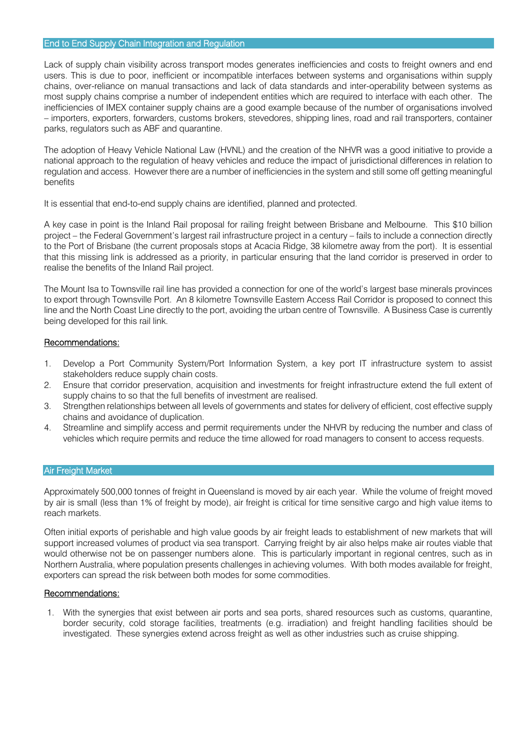## End to End Supply Chain Integration and Regulation

Lack of supply chain visibility across transport modes generates inefficiencies and costs to freight owners and end users. This is due to poor, inefficient or incompatible interfaces between systems and organisations within supply chains, over-reliance on manual transactions and lack of data standards and inter-operability between systems as most supply chains comprise a number of independent entities which are required to interface with each other. The inefficiencies of IMEX container supply chains are a good example because of the number of organisations involved – importers, exporters, forwarders, customs brokers, stevedores, shipping lines, road and rail transporters, container parks, regulators such as ABF and quarantine.

The adoption of Heavy Vehicle National Law (HVNL) and the creation of the NHVR was a good initiative to provide a national approach to the regulation of heavy vehicles and reduce the impact of jurisdictional differences in relation to regulation and access. However there are a number of inefficiencies in the system and still some off getting meaningful benefits

It is essential that end-to-end supply chains are identified, planned and protected.

A key case in point is the Inland Rail proposal for railing freight between Brisbane and Melbourne. This \$10 billion project – the Federal Government's largest rail infrastructure project in a century – fails to include a connection directly to the Port of Brisbane (the current proposals stops at Acacia Ridge, 38 kilometre away from the port). It is essential that this missing link is addressed as a priority, in particular ensuring that the land corridor is preserved in order to realise the benefits of the Inland Rail project.

The Mount Isa to Townsville rail line has provided a connection for one of the world's largest base minerals provinces to export through Townsville Port. An 8 kilometre Townsville Eastern Access Rail Corridor is proposed to connect this line and the North Coast Line directly to the port, avoiding the urban centre of Townsville. A Business Case is currently being developed for this rail link.

## Recommendations:

- 1. Develop a Port Community System/Port Information System, a key port IT infrastructure system to assist stakeholders reduce supply chain costs.
- 2. Ensure that corridor preservation, acquisition and investments for freight infrastructure extend the full extent of supply chains to so that the full benefits of investment are realised.
- 3. Strengthen relationships between all levels of governments and states for delivery of efficient, cost effective supply chains and avoidance of duplication.
- 4. Streamline and simplify access and permit requirements under the NHVR by reducing the number and class of vehicles which require permits and reduce the time allowed for road managers to consent to access requests.

## **Air Freight Market**

Approximately 500,000 tonnes of freight in Queensland is moved by air each year. While the volume of freight moved by air is small (less than 1% of freight by mode), air freight is critical for time sensitive cargo and high value items to reach markets.

Often initial exports of perishable and high value goods by air freight leads to establishment of new markets that will support increased volumes of product via sea transport. Carrying freight by air also helps make air routes viable that would otherwise not be on passenger numbers alone. This is particularly important in regional centres, such as in Northern Australia, where population presents challenges in achieving volumes. With both modes available for freight, exporters can spread the risk between both modes for some commodities.

## Recommendations:

1. With the synergies that exist between air ports and sea ports, shared resources such as customs, quarantine, border security, cold storage facilities, treatments (e.g. irradiation) and freight handling facilities should be investigated. These synergies extend across freight as well as other industries such as cruise shipping.